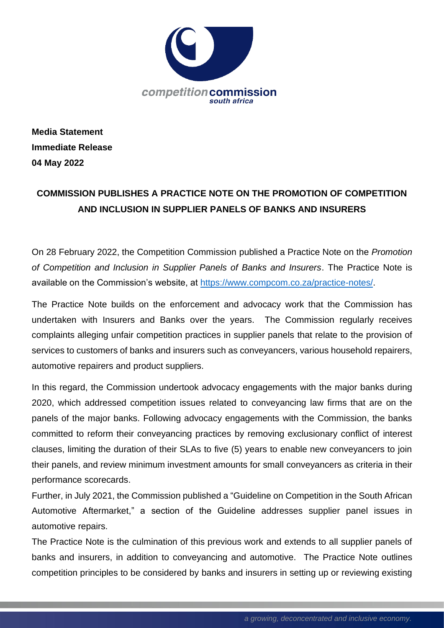

**Media Statement Immediate Release 04 May 2022**

## **COMMISSION PUBLISHES A PRACTICE NOTE ON THE PROMOTION OF COMPETITION AND INCLUSION IN SUPPLIER PANELS OF BANKS AND INSURERS**

On 28 February 2022, the Competition Commission published a Practice Note on the *Promotion of Competition and Inclusion in Supplier Panels of Banks and Insurers*. The Practice Note is available on the Commission's website, at [https://www.compcom.co.za/practice-notes/.](https://www.compcom.co.za/practice-notes/)

The Practice Note builds on the enforcement and advocacy work that the Commission has undertaken with Insurers and Banks over the years. The Commission regularly receives complaints alleging unfair competition practices in supplier panels that relate to the provision of services to customers of banks and insurers such as conveyancers, various household repairers, automotive repairers and product suppliers.

In this regard, the Commission undertook advocacy engagements with the major banks during 2020, which addressed competition issues related to conveyancing law firms that are on the panels of the major banks. Following advocacy engagements with the Commission, the banks committed to reform their conveyancing practices by removing exclusionary conflict of interest clauses, limiting the duration of their SLAs to five (5) years to enable new conveyancers to join their panels, and review minimum investment amounts for small conveyancers as criteria in their performance scorecards.

Further, in July 2021, the Commission published a "Guideline on Competition in the South African Automotive Aftermarket," a section of the Guideline addresses supplier panel issues in automotive repairs.

The Practice Note is the culmination of this previous work and extends to all supplier panels of banks and insurers, in addition to conveyancing and automotive. The Practice Note outlines competition principles to be considered by banks and insurers in setting up or reviewing existing